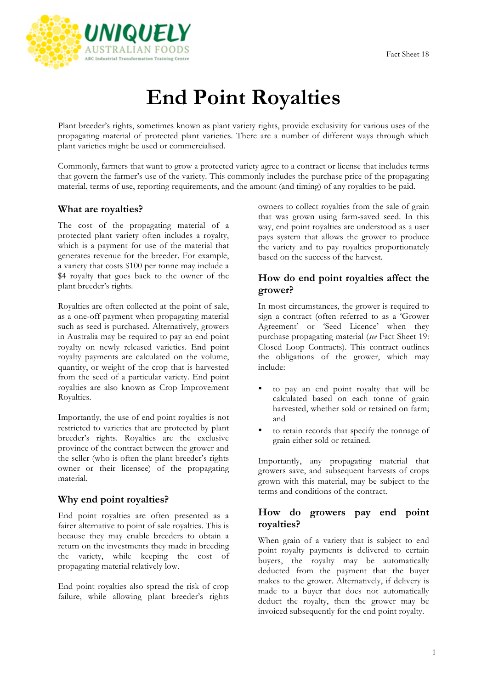

# **End Point Royalties**

Plant breeder's rights, sometimes known as plant variety rights, provide exclusivity for various uses of the propagating material of protected plant varieties. There are a number of different ways through which plant varieties might be used or commercialised.

Commonly, farmers that want to grow a protected variety agree to a contract or license that includes terms that govern the farmer's use of the variety. This commonly includes the purchase price of the propagating material, terms of use, reporting requirements, and the amount (and timing) of any royalties to be paid.

# **What are royalties?**

The cost of the propagating material of a protected plant variety often includes a royalty, which is a payment for use of the material that generates revenue for the breeder. For example, a variety that costs \$100 per tonne may include a \$4 royalty that goes back to the owner of the plant breeder's rights.

Royalties are often collected at the point of sale, as a one-off payment when propagating material such as seed is purchased. Alternatively, growers in Australia may be required to pay an end point royalty on newly released varieties. End point royalty payments are calculated on the volume, quantity, or weight of the crop that is harvested from the seed of a particular variety. End point royalties are also known as Crop Improvement Royalties.

Importantly, the use of end point royalties is not restricted to varieties that are protected by plant breeder's rights. Royalties are the exclusive province of the contract between the grower and the seller (who is often the plant breeder's rights owner or their licensee) of the propagating material.

# **Why end point royalties?**

End point royalties are often presented as a fairer alternative to point of sale royalties. This is because they may enable breeders to obtain a return on the investments they made in breeding the variety, while keeping the cost of propagating material relatively low.

End point royalties also spread the risk of crop failure, while allowing plant breeder's rights owners to collect royalties from the sale of grain that was grown using farm-saved seed. In this way, end point royalties are understood as a user pays system that allows the grower to produce the variety and to pay royalties proportionately based on the success of the harvest.

# **How do end point royalties affect the grower?**

In most circumstances, the grower is required to sign a contract (often referred to as a 'Grower Agreement' or 'Seed Licence' when they purchase propagating material (*see* Fact Sheet 19: Closed Loop Contracts). This contract outlines the obligations of the grower, which may include:

- to pay an end point royalty that will be calculated based on each tonne of grain harvested, whether sold or retained on farm; and
- to retain records that specify the tonnage of grain either sold or retained.

Importantly, any propagating material that growers save, and subsequent harvests of crops grown with this material, may be subject to the terms and conditions of the contract.

## **How do growers pay end point royalties?**

When grain of a variety that is subject to end point royalty payments is delivered to certain buyers, the royalty may be automatically deducted from the payment that the buyer makes to the grower. Alternatively, if delivery is made to a buyer that does not automatically deduct the royalty, then the grower may be invoiced subsequently for the end point royalty.